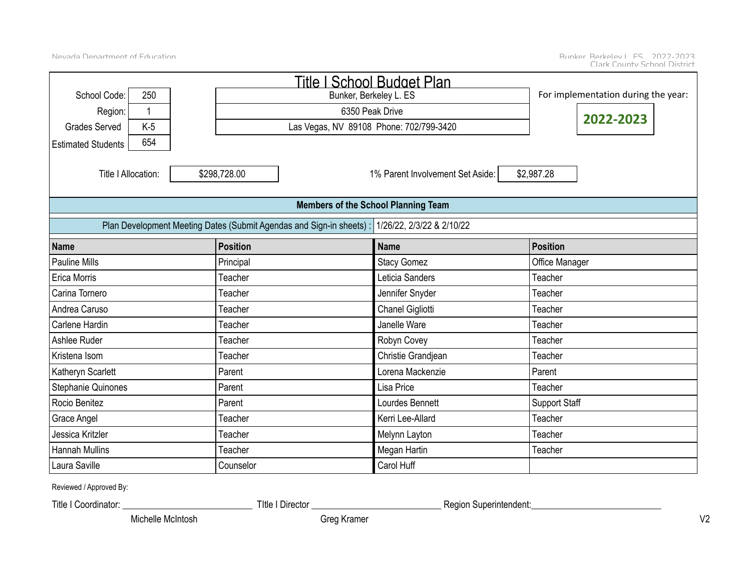|                                  |                                                                      | Title I School Budget Plan                 |                                     |
|----------------------------------|----------------------------------------------------------------------|--------------------------------------------|-------------------------------------|
| 250<br>School Code:              |                                                                      | Bunker, Berkeley L. ES                     | For implementation during the year: |
| Region:<br>1                     |                                                                      | 6350 Peak Drive                            |                                     |
| <b>Grades Served</b><br>$K-5$    |                                                                      | Las Vegas, NV 89108 Phone: 702/799-3420    | 2022-2023                           |
| 654<br><b>Estimated Students</b> |                                                                      |                                            |                                     |
| Title   Allocation:              | \$298,728.00                                                         | 1% Parent Involvement Set Aside:           | \$2,987.28                          |
|                                  |                                                                      | <b>Members of the School Planning Team</b> |                                     |
|                                  | Plan Development Meeting Dates (Submit Agendas and Sign-in sheets) : | 1/26/22, 2/3/22 & 2/10/22                  |                                     |
| <b>Name</b>                      | <b>Position</b>                                                      | <b>Name</b>                                | <b>Position</b>                     |
| <b>Pauline Mills</b>             | Principal                                                            | <b>Stacy Gomez</b>                         | Office Manager                      |
| Erica Morris                     | Teacher                                                              | Leticia Sanders                            | Teacher                             |
| Carina Tornero                   | Teacher                                                              | Jennifer Snyder                            | Teacher                             |
| Andrea Caruso                    | Teacher                                                              | Chanel Gigliotti                           | Teacher                             |
| Carlene Hardin                   | Teacher                                                              | Janelle Ware                               | Teacher                             |
| Ashlee Ruder                     | Teacher                                                              | Robyn Covey                                | Teacher                             |
| Kristena Isom                    | Teacher                                                              | Christie Grandjean                         | Teacher                             |
| Katheryn Scarlett                | Parent                                                               | Lorena Mackenzie                           | Parent                              |
| Stephanie Quinones               | Parent                                                               | Lisa Price                                 | Teacher                             |
| Rocio Benitez                    | Parent                                                               | Lourdes Bennett                            | <b>Support Staff</b>                |
| Grace Angel                      | Teacher                                                              | Kerri Lee-Allard                           | Teacher                             |
| Jessica Kritzler                 | Teacher                                                              | Melynn Layton                              | Teacher                             |
| <b>Hannah Mullins</b>            | Teacher                                                              | Megan Hartin                               | Teacher                             |
| Laura Saville                    | Counselor                                                            | Carol Huff                                 |                                     |

Reviewed / Approved By:

Title I Coordinator: \_\_\_\_\_\_\_\_\_\_\_\_\_\_\_\_\_\_\_\_\_\_\_\_\_\_\_\_ TItle I Director \_\_\_\_\_\_\_\_\_\_\_\_\_\_\_\_\_\_\_\_\_\_\_\_\_\_\_\_ Region Superintendent:\_\_\_\_\_\_\_\_\_\_\_\_\_\_\_\_\_\_\_\_\_\_\_\_\_\_\_\_

Michelle McIntosh Greg Kramer Greg Kramer Rebecca Andre Breeze Andre Breeze Andre V2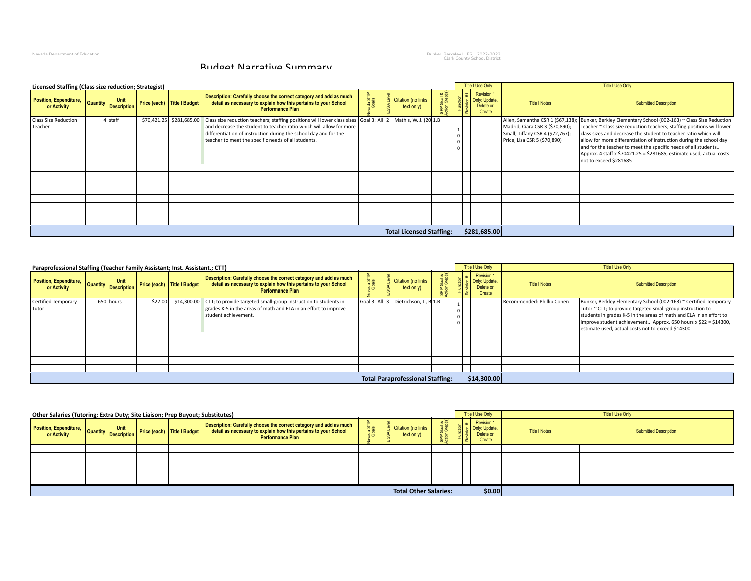Nevada Department of Education والمستعمل العالمية المستعمل المستعمل المستعمل المستعمل المستعمل المستعمل المستع<br>Clark County School District

#### Budget Narrative Summary

| Licensed Staffing (Class size reduction; Strategist) |                                               |                             |                                                                                                                                                                                                                                                                                                                                               |                  |              |                                   |           | <b>Title I Use Only</b>                                   |                                                                                                     | Title I Use Only                                                                                                                                                                                                                                                                                                                                                                                                                                                                              |
|------------------------------------------------------|-----------------------------------------------|-----------------------------|-----------------------------------------------------------------------------------------------------------------------------------------------------------------------------------------------------------------------------------------------------------------------------------------------------------------------------------------------|------------------|--------------|-----------------------------------|-----------|-----------------------------------------------------------|-----------------------------------------------------------------------------------------------------|-----------------------------------------------------------------------------------------------------------------------------------------------------------------------------------------------------------------------------------------------------------------------------------------------------------------------------------------------------------------------------------------------------------------------------------------------------------------------------------------------|
| Position, Expenditure,<br>or Activity                | Unit<br><b>Quantity</b><br><b>Description</b> | Price (each) Title I Budget | Description: Carefully choose the correct category and add as much<br>detail as necessary to explain how this pertains to your School<br><b>Performance Plan</b>                                                                                                                                                                              | ada STI<br>Goals | <b>SSALe</b> | Citation (no links,<br>text only) | a<br>Step | <b>Revision 1</b><br>Only: Update,<br>Delete or<br>Create | <b>Title I Notes</b>                                                                                | <b>Submitted Description</b>                                                                                                                                                                                                                                                                                                                                                                                                                                                                  |
| <b>Class Size Reduction</b><br>Teacher               | 4 staff                                       |                             | \$70,421.25   \$281,685.00   Class size reduction teachers; staffing positions will lower class sizes Goal 3: All 2   Mathis, W. J. (20 1.B<br>and decrease the student to teacher ratio which will allow for more<br>differentiation of instruction during the school day and for the<br>teacher to meet the specific needs of all students. |                  |              |                                   |           |                                                           | Madrid, Ciara CSR 3 (\$70,890);<br>Small, Tiffany CSR 4 (\$72,767);<br>Price, Lisa CSR 5 (\$70,890) | Allen, Samantha CSR 1 (\$67,138); Bunker, Berkley Elementary School (002-163) ~ Class Size Reduction<br>Teacher ~ Class size reduction teachers; staffing positions will lower<br>class sizes and decrease the student to teacher ratio which will<br>allow for more differentiation of instruction during the school day<br>and for the teacher to meet the specific needs of all students<br>Approx. 4 staff x \$70421.25 = \$281685, estimate used, actual costs<br>not to exceed \$281685 |
|                                                      |                                               |                             |                                                                                                                                                                                                                                                                                                                                               |                  |              |                                   |           |                                                           |                                                                                                     |                                                                                                                                                                                                                                                                                                                                                                                                                                                                                               |
|                                                      |                                               |                             |                                                                                                                                                                                                                                                                                                                                               |                  |              | <b>Total Licensed Staffing:</b>   |           | \$281,685.00                                              |                                                                                                     |                                                                                                                                                                                                                                                                                                                                                                                                                                                                                               |

| Paraprofessional Staffing (Teacher Family Assistant; Inst. Assistant.; CTT) |                                     |         |                             |                                                                                                                                                                        |                                         |  | Title I Use Only                                 |                            | Title I Use Only                                                                                                                                                                                                                                                                                                                |
|-----------------------------------------------------------------------------|-------------------------------------|---------|-----------------------------|------------------------------------------------------------------------------------------------------------------------------------------------------------------------|-----------------------------------------|--|--------------------------------------------------|----------------------------|---------------------------------------------------------------------------------------------------------------------------------------------------------------------------------------------------------------------------------------------------------------------------------------------------------------------------------|
| Position, Expenditure,<br>or Activity                                       | Unit<br>Tuale, Quantity Description |         | Price (each) Title I Budget | Description: Carefully choose the correct category and add as much<br>detail as necessary to explain how this pertains to your School<br><b>Performance Plan</b>       | Citation (no links,<br>text only)       |  | Revision 1<br><b>Formally:</b> Update,<br>Create | <b>Title I Notes</b>       | <b>Submitted Description</b>                                                                                                                                                                                                                                                                                                    |
| Certified Temporary<br>Tutor                                                | 650 hours                           | \$22.00 |                             | \$14,300.00 CTT; to provide targeted small-group instruction to students in<br>grades K-5 in the areas of math and ELA in an effort to improve<br>student achievement. | Goal 3: All 3 Dietrichson, J., B 1.B    |  |                                                  | Recommended: Phillip Cohen | Bunker, Berkley Elementary School (002-163) ~ Certified Temporary<br>Tutor ~ CTT; to provide targeted small-group instruction to<br>students in grades K-5 in the areas of math and ELA in an effort to<br>improve student achievement Approx. 650 hours x \$22 = \$14300,<br>estimate used, actual costs not to exceed \$14300 |
|                                                                             |                                     |         |                             |                                                                                                                                                                        |                                         |  |                                                  |                            |                                                                                                                                                                                                                                                                                                                                 |
|                                                                             |                                     |         |                             |                                                                                                                                                                        | <b>Total Paraprofessional Staffing:</b> |  | \$14,300.00                                      |                            |                                                                                                                                                                                                                                                                                                                                 |

| Other Salaries (Tutoring; Extra Duty; Site Liaison; Prep Buyout; Substitutes) |  |                             |                                                                                                                                                                  |                    |          |                                            |                  | Title I Use Only                                   |                      | Title I Use Only             |
|-------------------------------------------------------------------------------|--|-----------------------------|------------------------------------------------------------------------------------------------------------------------------------------------------------------|--------------------|----------|--------------------------------------------|------------------|----------------------------------------------------|----------------------|------------------------------|
| Position, Expenditure, Quantity Description Price                             |  | Price (each) Title I Budget | Description: Carefully choose the correct category and add as much<br>detail as necessary to explain how this pertains to your School<br><b>Performance Plan</b> | 'ত ভ<br>ada<br>Goa | SSA<br>m | <b>P</b> Citation (no links.<br>text only) | soal &<br>Step(s | Revision 1<br>Only: Update,<br>Delete or<br>Create | <b>Title I Notes</b> | <b>Submitted Description</b> |
|                                                                               |  |                             |                                                                                                                                                                  |                    |          |                                            |                  |                                                    |                      |                              |
|                                                                               |  |                             |                                                                                                                                                                  |                    |          |                                            |                  |                                                    |                      |                              |
|                                                                               |  |                             |                                                                                                                                                                  |                    |          |                                            |                  |                                                    |                      |                              |
|                                                                               |  |                             |                                                                                                                                                                  |                    |          |                                            |                  |                                                    |                      |                              |
|                                                                               |  |                             |                                                                                                                                                                  |                    |          |                                            |                  |                                                    |                      |                              |
|                                                                               |  |                             |                                                                                                                                                                  |                    |          | <b>Total Other Salaries:</b>               |                  | \$0.00                                             |                      |                              |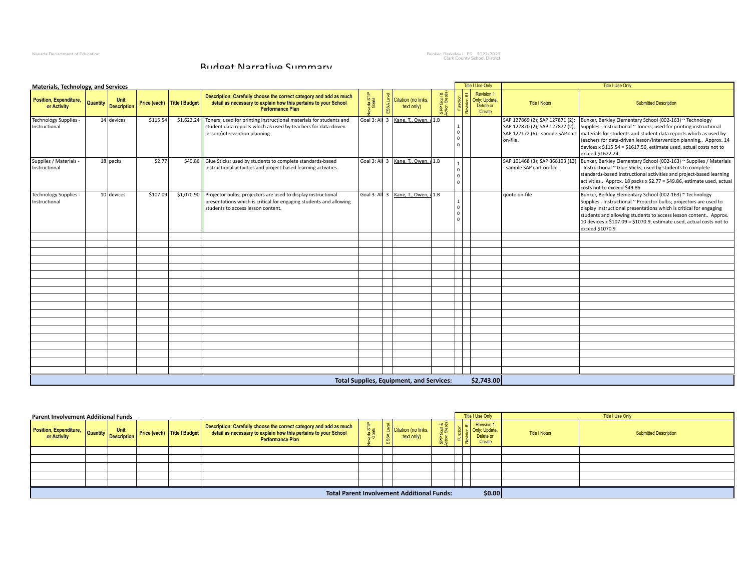Nevada Department of Education والمستحدث العربية المستحدثة المستحدثة المستحدثة المستحدثة المستحدثة المستحدثة ال<br>Clark County School District

#### Budget Narrative Summary

| Materials, Technology, and Services         |                 |                            |                             |                                                                                                                                                                                      |            |                                                    |       | <b>Title I Use Only</b>                                  |                            | Title I Use Only                                                                                                                                                                                                                                                                                                                                                                                                                                                     |
|---------------------------------------------|-----------------|----------------------------|-----------------------------|--------------------------------------------------------------------------------------------------------------------------------------------------------------------------------------|------------|----------------------------------------------------|-------|----------------------------------------------------------|----------------------------|----------------------------------------------------------------------------------------------------------------------------------------------------------------------------------------------------------------------------------------------------------------------------------------------------------------------------------------------------------------------------------------------------------------------------------------------------------------------|
| Position, Expenditure,<br>or Activity       | <b>Quantity</b> | Unit<br><b>Description</b> | Price (each) Title I Budget | Description: Carefully choose the correct category and add as much<br>detail as necessary to explain how this pertains to your School<br>Performance Plan                            | a sa<br>as | Citation (no links.<br>text only)                  |       | <b>Revision 1</b><br>Only: Update<br>Delete or<br>Create | <b>Title I Notes</b>       | <b>Submitted Description</b>                                                                                                                                                                                                                                                                                                                                                                                                                                         |
| Technology Supplies -<br>Instructional      |                 | 14 devices                 | \$115.54                    | $$1,622.24$ Toners; used for printing instructional materials for students and<br>student data reports which as used by teachers for data-driven<br>lesson/intervention planning.    |            | Goal 3: All 3   Kane, T., Owen, 41.B               |       |                                                          | on-file.                   | SAP 127869 (2); SAP 127871 (2); Bunker, Berkley Elementary School (002-163) ~ Technology<br>SAP 127870 (2); SAP 127872 (2); Supplies - Instructional ~ Toners; used for printing instructional<br>SAP 127172 (6) - sample SAP cart   materials for students and student data reports which as used by<br>teachers for data-driven lesson/intervention planning Approx. 14<br>devices x $$115.54 = $1617.56$ , estimate used, actual costs not to<br>exceed \$1622.24 |
| Supplies / Materials -<br>Instructional     |                 | 18 packs                   | \$2.77                      | \$49.86 Glue Sticks; used by students to complete standards-based<br>instructional activities and project-based learning activities.                                                 |            | Goal 3: All $\overline{3}$   Kane, T., Owen, A 1.B |       |                                                          | - sample SAP cart on-file. | SAP 101468 (3); SAP 368193 (13) Bunker, Berkley Elementary School (002-163) ~ Supplies / Materials<br>- Instructional ~ Glue Sticks; used by students to complete<br>standards-based instructional activities and project-based learning<br>activities Approx. 18 packs x $$2.77 = $49.86$ , estimate used, actual<br>costs not to exceed \$49.86                                                                                                                    |
| <b>Technology Supplies</b><br>Instructional |                 | 10 devices                 | \$107.09                    | \$1,070.90 Projector bulbs; projectors are used to display instructional<br>presentations which is critical for engaging students and allowing<br>students to access lesson content. |            | Goal 3: All 3   Kane, T., Owen, A 1.B              | l o I |                                                          | quote on-file              | Bunker, Berkley Elementary School (002-163) ~ Technology<br>Supplies - Instructional ~ Projector bulbs; projectors are used to<br>display instructional presentations which is critical for engaging<br>students and allowing students to access lesson content Approx.<br>10 devices x \$107.09 = \$1070.9, estimate used, actual costs not to<br>exceed \$1070.9                                                                                                   |
|                                             |                 |                            |                             |                                                                                                                                                                                      |            |                                                    |       |                                                          |                            |                                                                                                                                                                                                                                                                                                                                                                                                                                                                      |
|                                             |                 |                            |                             |                                                                                                                                                                                      |            |                                                    |       |                                                          |                            |                                                                                                                                                                                                                                                                                                                                                                                                                                                                      |
|                                             |                 |                            |                             |                                                                                                                                                                                      |            |                                                    |       |                                                          |                            |                                                                                                                                                                                                                                                                                                                                                                                                                                                                      |
|                                             |                 |                            |                             |                                                                                                                                                                                      |            |                                                    |       |                                                          |                            |                                                                                                                                                                                                                                                                                                                                                                                                                                                                      |
|                                             |                 |                            |                             |                                                                                                                                                                                      |            |                                                    |       |                                                          |                            |                                                                                                                                                                                                                                                                                                                                                                                                                                                                      |
|                                             |                 |                            |                             |                                                                                                                                                                                      |            |                                                    |       |                                                          |                            |                                                                                                                                                                                                                                                                                                                                                                                                                                                                      |
|                                             |                 |                            |                             |                                                                                                                                                                                      |            |                                                    |       |                                                          |                            |                                                                                                                                                                                                                                                                                                                                                                                                                                                                      |
|                                             |                 |                            |                             |                                                                                                                                                                                      |            |                                                    |       |                                                          |                            |                                                                                                                                                                                                                                                                                                                                                                                                                                                                      |
|                                             |                 |                            |                             |                                                                                                                                                                                      |            |                                                    |       |                                                          |                            |                                                                                                                                                                                                                                                                                                                                                                                                                                                                      |
|                                             |                 |                            |                             |                                                                                                                                                                                      |            |                                                    |       |                                                          |                            |                                                                                                                                                                                                                                                                                                                                                                                                                                                                      |
|                                             |                 |                            |                             |                                                                                                                                                                                      |            |                                                    |       |                                                          |                            |                                                                                                                                                                                                                                                                                                                                                                                                                                                                      |
|                                             |                 |                            |                             |                                                                                                                                                                                      |            |                                                    |       |                                                          |                            |                                                                                                                                                                                                                                                                                                                                                                                                                                                                      |
|                                             |                 |                            |                             |                                                                                                                                                                                      |            | <b>Total Supplies, Equipment, and Services:</b>    |       | \$2,743.00                                               |                            |                                                                                                                                                                                                                                                                                                                                                                                                                                                                      |

| Parent Involvement Additional Funds                   |  |                             |                                                                                                                                                                  |                      |                                                   |  | <b>Title I Use Only</b>                                  |                      | Title I Use Only             |
|-------------------------------------------------------|--|-----------------------------|------------------------------------------------------------------------------------------------------------------------------------------------------------------|----------------------|---------------------------------------------------|--|----------------------------------------------------------|----------------------|------------------------------|
| Position, Expenditure, Quantity Description Price in- |  | Price (each) Title I Budget | Description: Carefully choose the correct category and add as much<br>detail as necessary to explain how this pertains to your School<br><b>Performance Plan</b> | $\sim$ $\sim$<br>7 ద | Citation (no links.<br>text only)                 |  | <b>Revision 1</b><br>Only: Update<br>Delete or<br>Create | <b>Title I Notes</b> | <b>Submitted Description</b> |
|                                                       |  |                             |                                                                                                                                                                  |                      |                                                   |  |                                                          |                      |                              |
|                                                       |  |                             |                                                                                                                                                                  |                      |                                                   |  |                                                          |                      |                              |
|                                                       |  |                             |                                                                                                                                                                  |                      |                                                   |  |                                                          |                      |                              |
|                                                       |  |                             |                                                                                                                                                                  |                      |                                                   |  |                                                          |                      |                              |
|                                                       |  |                             |                                                                                                                                                                  |                      |                                                   |  |                                                          |                      |                              |
|                                                       |  |                             |                                                                                                                                                                  |                      | <b>Total Parent Involvement Additional Funds:</b> |  | \$0.00                                                   |                      |                              |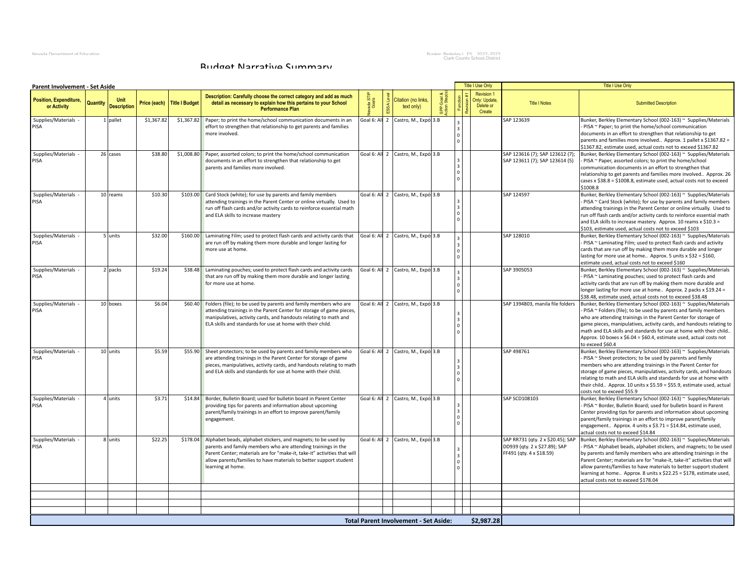Nevada Department of Education والمستحدث العربية المستحدثة المستحدثة المستحدثة المستحدثة المستحدثة المستحدثة ال<br>Clark County School District

#### Budget Narrative Summary

| Revision 1<br>Description: Carefully choose the correct category and add as much<br><b>Position, Expenditure,</b><br>Citation (no links.<br>Only: Update.<br>Sepe<br>Goals<br>Quantity<br>Price (each) Title I Budget<br>detail as necessary to explain how this pertains to your School<br><b>Title I Notes</b><br><b>Submitted Description</b><br>Delete or<br>or Activity<br><b>Description</b><br>text only)<br><b>Performance Plan</b><br>Create<br>\$1,367.82<br>\$1,367.82<br>Goal 6: All 2 Castro, M., Expó: 3.B<br>1 pallet<br>Paper; to print the home/school communication documents in an<br>SAP 123639<br>Bunker, Berkley Elementary School (002-163) ~ Supplies/Materials<br>Supplies/Materials<br>PISA<br>effort to strengthen that relationship to get parents and families<br>- PISA ~ Paper; to print the home/school communication<br>more involved.<br>documents in an effort to strengthen that relationship to get<br>parents and families more involved Approx. 1 pallet x \$1367.82 =<br>\$1367.82, estimate used, actual costs not to exceed \$1367.82<br>Supplies/Materials<br>26 cases<br>\$38.80<br>\$1,008.80<br>Goal 6: All 2 Castro, M., Expó: 3.B<br>SAP 123616 (7); SAP 123612 (7);<br>Bunker, Berkley Elementary School (002-163) ~ Supplies/Materials<br>Paper, assorted colors; to print the home/school communication<br>documents in an effort to strengthen that relationship to get<br>SAP 123611 (7); SAP 123614 (5)<br>PISA ~ Paper, assorted colors; to print the home/school<br>PISA<br>parents and families more involved.<br>communication documents in an effort to strengthen that<br>relationship to get parents and families more involved Approx. 26<br>cases x \$38.8 = \$1008.8, estimate used, actual costs not to exceed<br>\$1008.8<br>\$10.30<br>Goal 6: All 2 Castro, M., Expó: 3.B<br>SAP 124597<br>Bunker, Berkley Elementary School (002-163) ~ Supplies/Materials<br>Supplies/Materials<br>10 reams<br>\$103.00 Card Stock (white); for use by parents and family members<br>PISA<br>attending trainings in the Parent Center or online virtually. Used to<br>- PISA ~ Card Stock (white); for use by parents and family members<br>run off flash cards and/or activity cards to reinforce essential math<br>attending trainings in the Parent Center or online virtually. Used to<br>run off flash cards and/or activity cards to reinforce essential math<br>and ELA skills to increase mastery<br>and ELA skills to increase mastery. Approx. 10 reams x \$10.3 =<br>\$103, estimate used, actual costs not to exceed \$103<br>\$32.00<br>Goal 6: All 2 Castro, M., Expó: 3.B<br>Supplies/Materials<br>\$160.00 Laminating Film; used to protect flash cards and activity cards that<br>SAP 128010<br>Bunker, Berkley Elementary School (002-163) ~ Supplies/Materials<br>5 units<br>are run off by making them more durable and longer lasting for<br>PISA<br>- PISA ~ Laminating Film; used to protect flash cards and activity<br>more use at home.<br>cards that are run off by making them more durable and longer<br>lasting for more use at home Approx. 5 units x \$32 = \$160,<br>estimate used, actual costs not to exceed \$160<br>Supplies/Materials<br>\$19.24<br>\$38.48 Laminating pouches; used to protect flash cards and activity cards<br>Goal 6: All 2 Castro, M., Expó: 3.B<br>SAP 3905053<br>Bunker, Berkley Elementary School (002-163) ~ Supplies/Materials<br>2 packs<br>that are run off by making them more durable and longer lasting<br>- PISA ~ Laminating pouches; used to protect flash cards and<br>PISA<br>for more use at home.<br>activity cards that are run off by making them more durable and<br>longer lasting for more use at home Approx. 2 packs x \$19.24 =<br>\$38.48, estimate used, actual costs not to exceed \$38.48<br>Goal 6: All 2 Castro, M., Expó: 3.B<br>SAP 1394803, manila file folders<br>Supplies/Materials<br>10 boxes<br>\$6.04<br>\$60.40 Folders (file); to be used by parents and family members who are<br>Bunker, Berkley Elementary School (002-163) ~ Supplies/Materials<br>PISA<br>attending trainings in the Parent Center for storage of game pieces,<br>PISA ~ Folders (file); to be used by parents and family members<br>manipulatives, activity cards, and handouts relating to math and<br>who are attending trainings in the Parent Center for storage of<br>ELA skills and standards for use at home with their child.<br>game pieces, manipulatives, activity cards, and handouts relating to<br>math and ELA skills and standards for use at home with their child<br>Approx. 10 boxes x $$6.04 = $60.4$ , estimate used, actual costs not<br>to exceed \$60.4<br>Supplies/Materials<br>10 units<br>\$5.59<br>\$55.90 Sheet protectors; to be used by parents and family members who<br>Goal 6: All 2 Castro, M., Expó: 3.B<br>SAP 498761<br>Bunker, Berkley Elementary School (002-163) ~ Supplies/Materials<br>PISA<br>are attending trainings in the Parent Center for storage of game<br>PISA ~ Sheet protectors; to be used by parents and family<br>pieces, manipulatives, activity cards, and handouts relating to math<br>members who are attending trainings in the Parent Center for<br>and ELA skills and standards for use at home with their child.<br>storage of game pieces, manipulatives, activity cards, and handouts<br>relating to math and ELA skills and standards for use at home with<br>their child Approx. 10 units x $$5.59 = $55.9$ , estimate used, actual<br>costs not to exceed \$55.9<br>Goal 6: All 2 Castro, M., Expó: 3.B<br>SAP SCD108103<br>Supplies/Materials<br>4 units<br>\$3.71<br>\$14.84 Border, Bulletin Board; used for bulletin board in Parent Center<br>Bunker, Berkley Elementary School (002-163) ~ Supplies/Materials<br>PISA<br>providing tips for parents and information about upcoming<br>- PISA ~ Border, Bulletin Board; used for bulletin board in Parent<br>parent/family trainings in an effort to improve parent/family<br>Center providing tips for parents and information about upcoming<br>engagement.<br>parent/family trainings in an effort to improve parent/family<br>engagement Approx. 4 units x \$3.71 = \$14.84, estimate used,<br>actual costs not to exceed \$14.84<br>\$22.25<br>Goal 6: All 2 Castro, M., Expó: 3.B<br>SAP RR731 (qty. 2 x \$20.45); SAP<br>Supplies/Materials<br>8 units<br>\$178.04 Alphabet beads, alphabet stickers, and magnets; to be used by<br>Bunker, Berkley Elementary School (002-163) ~ Supplies/Materials<br>PISA<br>parents and family members who are attending trainings in the<br>DD939 (qty. 2 x \$27.89); SAP<br>PISA ~ Alphabet beads, alphabet stickers, and magnets; to be used<br>FF491 (qty. 4 x \$18.59)<br>Parent Center; materials are for "make-it, take-it" activities that will<br>by parents and family members who are attending trainings in the<br>allow parents/families to have materials to better support student<br>Parent Center; materials are for "make-it, take-it" activities that will<br>learning at home.<br>allow parents/families to have materials to better support student<br>learning at home Approx. 8 units x \$22.25 = \$178, estimate used,<br>actual costs not to exceed \$178.04 | Parent Involvement - Set Aside |  |  |  |  | <b>Title I Use Only</b> | <b>Title I Use Only</b> |
|----------------------------------------------------------------------------------------------------------------------------------------------------------------------------------------------------------------------------------------------------------------------------------------------------------------------------------------------------------------------------------------------------------------------------------------------------------------------------------------------------------------------------------------------------------------------------------------------------------------------------------------------------------------------------------------------------------------------------------------------------------------------------------------------------------------------------------------------------------------------------------------------------------------------------------------------------------------------------------------------------------------------------------------------------------------------------------------------------------------------------------------------------------------------------------------------------------------------------------------------------------------------------------------------------------------------------------------------------------------------------------------------------------------------------------------------------------------------------------------------------------------------------------------------------------------------------------------------------------------------------------------------------------------------------------------------------------------------------------------------------------------------------------------------------------------------------------------------------------------------------------------------------------------------------------------------------------------------------------------------------------------------------------------------------------------------------------------------------------------------------------------------------------------------------------------------------------------------------------------------------------------------------------------------------------------------------------------------------------------------------------------------------------------------------------------------------------------------------------------------------------------------------------------------------------------------------------------------------------------------------------------------------------------------------------------------------------------------------------------------------------------------------------------------------------------------------------------------------------------------------------------------------------------------------------------------------------------------------------------------------------------------------------------------------------------------------------------------------------------------------------------------------------------------------------------------------------------------------------------------------------------------------------------------------------------------------------------------------------------------------------------------------------------------------------------------------------------------------------------------------------------------------------------------------------------------------------------------------------------------------------------------------------------------------------------------------------------------------------------------------------------------------------------------------------------------------------------------------------------------------------------------------------------------------------------------------------------------------------------------------------------------------------------------------------------------------------------------------------------------------------------------------------------------------------------------------------------------------------------------------------------------------------------------------------------------------------------------------------------------------------------------------------------------------------------------------------------------------------------------------------------------------------------------------------------------------------------------------------------------------------------------------------------------------------------------------------------------------------------------------------------------------------------------------------------------------------------------------------------------------------------------------------------------------------------------------------------------------------------------------------------------------------------------------------------------------------------------------------------------------------------------------------------------------------------------------------------------------------------------------------------------------------------------------------------------------------------------------------------------------------------------------------------------------------------------------------------------------------------------------------------------------------------------------------------------------------------------------------------------------------------------------------------------------------------------------------------------------------------------------------------------------------------------------------------------------------------------------------------------------------------------------------------------------------------------------------------------------------------------------------------------------------------------------------------------------------------------------------------------------------------------------------------------------------------------------------------------------------------------------------------------------------------------------------------------------------------------------------------------------------------------------------------------------------------------------------------------------------------------------------------------------------------------------------------------------------------------------------------------------------------------------------------------------------------------------------------------------------------------------------------------------------------------------------------------------------------------------------------------------------------------------------------------------------------------------------------------------------------------------------------------------------------------------------------------------------------------------------------------------------------------------------------------------------------------------------------------------------------------------------------------------------------------|--------------------------------|--|--|--|--|-------------------------|-------------------------|
|                                                                                                                                                                                                                                                                                                                                                                                                                                                                                                                                                                                                                                                                                                                                                                                                                                                                                                                                                                                                                                                                                                                                                                                                                                                                                                                                                                                                                                                                                                                                                                                                                                                                                                                                                                                                                                                                                                                                                                                                                                                                                                                                                                                                                                                                                                                                                                                                                                                                                                                                                                                                                                                                                                                                                                                                                                                                                                                                                                                                                                                                                                                                                                                                                                                                                                                                                                                                                                                                                                                                                                                                                                                                                                                                                                                                                                                                                                                                                                                                                                                                                                                                                                                                                                                                                                                                                                                                                                                                                                                                                                                                                                                                                                                                                                                                                                                                                                                                                                                                                                                                                                                                                                                                                                                                                                                                                                                                                                                                                                                                                                                                                                                                                                                                                                                                                                                                                                                                                                                                                                                                                                                                                                                                                                                                                                                                                                                                                                                                                                                                                                                                                                                                                                                                                                                                                                                                                                                                                                                                                                                                                                                                                                                                                                                                                              |                                |  |  |  |  |                         |                         |
|                                                                                                                                                                                                                                                                                                                                                                                                                                                                                                                                                                                                                                                                                                                                                                                                                                                                                                                                                                                                                                                                                                                                                                                                                                                                                                                                                                                                                                                                                                                                                                                                                                                                                                                                                                                                                                                                                                                                                                                                                                                                                                                                                                                                                                                                                                                                                                                                                                                                                                                                                                                                                                                                                                                                                                                                                                                                                                                                                                                                                                                                                                                                                                                                                                                                                                                                                                                                                                                                                                                                                                                                                                                                                                                                                                                                                                                                                                                                                                                                                                                                                                                                                                                                                                                                                                                                                                                                                                                                                                                                                                                                                                                                                                                                                                                                                                                                                                                                                                                                                                                                                                                                                                                                                                                                                                                                                                                                                                                                                                                                                                                                                                                                                                                                                                                                                                                                                                                                                                                                                                                                                                                                                                                                                                                                                                                                                                                                                                                                                                                                                                                                                                                                                                                                                                                                                                                                                                                                                                                                                                                                                                                                                                                                                                                                                              |                                |  |  |  |  |                         |                         |
|                                                                                                                                                                                                                                                                                                                                                                                                                                                                                                                                                                                                                                                                                                                                                                                                                                                                                                                                                                                                                                                                                                                                                                                                                                                                                                                                                                                                                                                                                                                                                                                                                                                                                                                                                                                                                                                                                                                                                                                                                                                                                                                                                                                                                                                                                                                                                                                                                                                                                                                                                                                                                                                                                                                                                                                                                                                                                                                                                                                                                                                                                                                                                                                                                                                                                                                                                                                                                                                                                                                                                                                                                                                                                                                                                                                                                                                                                                                                                                                                                                                                                                                                                                                                                                                                                                                                                                                                                                                                                                                                                                                                                                                                                                                                                                                                                                                                                                                                                                                                                                                                                                                                                                                                                                                                                                                                                                                                                                                                                                                                                                                                                                                                                                                                                                                                                                                                                                                                                                                                                                                                                                                                                                                                                                                                                                                                                                                                                                                                                                                                                                                                                                                                                                                                                                                                                                                                                                                                                                                                                                                                                                                                                                                                                                                                                              |                                |  |  |  |  |                         |                         |
|                                                                                                                                                                                                                                                                                                                                                                                                                                                                                                                                                                                                                                                                                                                                                                                                                                                                                                                                                                                                                                                                                                                                                                                                                                                                                                                                                                                                                                                                                                                                                                                                                                                                                                                                                                                                                                                                                                                                                                                                                                                                                                                                                                                                                                                                                                                                                                                                                                                                                                                                                                                                                                                                                                                                                                                                                                                                                                                                                                                                                                                                                                                                                                                                                                                                                                                                                                                                                                                                                                                                                                                                                                                                                                                                                                                                                                                                                                                                                                                                                                                                                                                                                                                                                                                                                                                                                                                                                                                                                                                                                                                                                                                                                                                                                                                                                                                                                                                                                                                                                                                                                                                                                                                                                                                                                                                                                                                                                                                                                                                                                                                                                                                                                                                                                                                                                                                                                                                                                                                                                                                                                                                                                                                                                                                                                                                                                                                                                                                                                                                                                                                                                                                                                                                                                                                                                                                                                                                                                                                                                                                                                                                                                                                                                                                                                              |                                |  |  |  |  |                         |                         |
|                                                                                                                                                                                                                                                                                                                                                                                                                                                                                                                                                                                                                                                                                                                                                                                                                                                                                                                                                                                                                                                                                                                                                                                                                                                                                                                                                                                                                                                                                                                                                                                                                                                                                                                                                                                                                                                                                                                                                                                                                                                                                                                                                                                                                                                                                                                                                                                                                                                                                                                                                                                                                                                                                                                                                                                                                                                                                                                                                                                                                                                                                                                                                                                                                                                                                                                                                                                                                                                                                                                                                                                                                                                                                                                                                                                                                                                                                                                                                                                                                                                                                                                                                                                                                                                                                                                                                                                                                                                                                                                                                                                                                                                                                                                                                                                                                                                                                                                                                                                                                                                                                                                                                                                                                                                                                                                                                                                                                                                                                                                                                                                                                                                                                                                                                                                                                                                                                                                                                                                                                                                                                                                                                                                                                                                                                                                                                                                                                                                                                                                                                                                                                                                                                                                                                                                                                                                                                                                                                                                                                                                                                                                                                                                                                                                                                              |                                |  |  |  |  |                         |                         |
|                                                                                                                                                                                                                                                                                                                                                                                                                                                                                                                                                                                                                                                                                                                                                                                                                                                                                                                                                                                                                                                                                                                                                                                                                                                                                                                                                                                                                                                                                                                                                                                                                                                                                                                                                                                                                                                                                                                                                                                                                                                                                                                                                                                                                                                                                                                                                                                                                                                                                                                                                                                                                                                                                                                                                                                                                                                                                                                                                                                                                                                                                                                                                                                                                                                                                                                                                                                                                                                                                                                                                                                                                                                                                                                                                                                                                                                                                                                                                                                                                                                                                                                                                                                                                                                                                                                                                                                                                                                                                                                                                                                                                                                                                                                                                                                                                                                                                                                                                                                                                                                                                                                                                                                                                                                                                                                                                                                                                                                                                                                                                                                                                                                                                                                                                                                                                                                                                                                                                                                                                                                                                                                                                                                                                                                                                                                                                                                                                                                                                                                                                                                                                                                                                                                                                                                                                                                                                                                                                                                                                                                                                                                                                                                                                                                                                              |                                |  |  |  |  |                         |                         |
|                                                                                                                                                                                                                                                                                                                                                                                                                                                                                                                                                                                                                                                                                                                                                                                                                                                                                                                                                                                                                                                                                                                                                                                                                                                                                                                                                                                                                                                                                                                                                                                                                                                                                                                                                                                                                                                                                                                                                                                                                                                                                                                                                                                                                                                                                                                                                                                                                                                                                                                                                                                                                                                                                                                                                                                                                                                                                                                                                                                                                                                                                                                                                                                                                                                                                                                                                                                                                                                                                                                                                                                                                                                                                                                                                                                                                                                                                                                                                                                                                                                                                                                                                                                                                                                                                                                                                                                                                                                                                                                                                                                                                                                                                                                                                                                                                                                                                                                                                                                                                                                                                                                                                                                                                                                                                                                                                                                                                                                                                                                                                                                                                                                                                                                                                                                                                                                                                                                                                                                                                                                                                                                                                                                                                                                                                                                                                                                                                                                                                                                                                                                                                                                                                                                                                                                                                                                                                                                                                                                                                                                                                                                                                                                                                                                                                              |                                |  |  |  |  |                         |                         |
|                                                                                                                                                                                                                                                                                                                                                                                                                                                                                                                                                                                                                                                                                                                                                                                                                                                                                                                                                                                                                                                                                                                                                                                                                                                                                                                                                                                                                                                                                                                                                                                                                                                                                                                                                                                                                                                                                                                                                                                                                                                                                                                                                                                                                                                                                                                                                                                                                                                                                                                                                                                                                                                                                                                                                                                                                                                                                                                                                                                                                                                                                                                                                                                                                                                                                                                                                                                                                                                                                                                                                                                                                                                                                                                                                                                                                                                                                                                                                                                                                                                                                                                                                                                                                                                                                                                                                                                                                                                                                                                                                                                                                                                                                                                                                                                                                                                                                                                                                                                                                                                                                                                                                                                                                                                                                                                                                                                                                                                                                                                                                                                                                                                                                                                                                                                                                                                                                                                                                                                                                                                                                                                                                                                                                                                                                                                                                                                                                                                                                                                                                                                                                                                                                                                                                                                                                                                                                                                                                                                                                                                                                                                                                                                                                                                                                              |                                |  |  |  |  |                         |                         |
|                                                                                                                                                                                                                                                                                                                                                                                                                                                                                                                                                                                                                                                                                                                                                                                                                                                                                                                                                                                                                                                                                                                                                                                                                                                                                                                                                                                                                                                                                                                                                                                                                                                                                                                                                                                                                                                                                                                                                                                                                                                                                                                                                                                                                                                                                                                                                                                                                                                                                                                                                                                                                                                                                                                                                                                                                                                                                                                                                                                                                                                                                                                                                                                                                                                                                                                                                                                                                                                                                                                                                                                                                                                                                                                                                                                                                                                                                                                                                                                                                                                                                                                                                                                                                                                                                                                                                                                                                                                                                                                                                                                                                                                                                                                                                                                                                                                                                                                                                                                                                                                                                                                                                                                                                                                                                                                                                                                                                                                                                                                                                                                                                                                                                                                                                                                                                                                                                                                                                                                                                                                                                                                                                                                                                                                                                                                                                                                                                                                                                                                                                                                                                                                                                                                                                                                                                                                                                                                                                                                                                                                                                                                                                                                                                                                                                              |                                |  |  |  |  |                         |                         |
|                                                                                                                                                                                                                                                                                                                                                                                                                                                                                                                                                                                                                                                                                                                                                                                                                                                                                                                                                                                                                                                                                                                                                                                                                                                                                                                                                                                                                                                                                                                                                                                                                                                                                                                                                                                                                                                                                                                                                                                                                                                                                                                                                                                                                                                                                                                                                                                                                                                                                                                                                                                                                                                                                                                                                                                                                                                                                                                                                                                                                                                                                                                                                                                                                                                                                                                                                                                                                                                                                                                                                                                                                                                                                                                                                                                                                                                                                                                                                                                                                                                                                                                                                                                                                                                                                                                                                                                                                                                                                                                                                                                                                                                                                                                                                                                                                                                                                                                                                                                                                                                                                                                                                                                                                                                                                                                                                                                                                                                                                                                                                                                                                                                                                                                                                                                                                                                                                                                                                                                                                                                                                                                                                                                                                                                                                                                                                                                                                                                                                                                                                                                                                                                                                                                                                                                                                                                                                                                                                                                                                                                                                                                                                                                                                                                                                              |                                |  |  |  |  |                         |                         |
|                                                                                                                                                                                                                                                                                                                                                                                                                                                                                                                                                                                                                                                                                                                                                                                                                                                                                                                                                                                                                                                                                                                                                                                                                                                                                                                                                                                                                                                                                                                                                                                                                                                                                                                                                                                                                                                                                                                                                                                                                                                                                                                                                                                                                                                                                                                                                                                                                                                                                                                                                                                                                                                                                                                                                                                                                                                                                                                                                                                                                                                                                                                                                                                                                                                                                                                                                                                                                                                                                                                                                                                                                                                                                                                                                                                                                                                                                                                                                                                                                                                                                                                                                                                                                                                                                                                                                                                                                                                                                                                                                                                                                                                                                                                                                                                                                                                                                                                                                                                                                                                                                                                                                                                                                                                                                                                                                                                                                                                                                                                                                                                                                                                                                                                                                                                                                                                                                                                                                                                                                                                                                                                                                                                                                                                                                                                                                                                                                                                                                                                                                                                                                                                                                                                                                                                                                                                                                                                                                                                                                                                                                                                                                                                                                                                                                              |                                |  |  |  |  |                         |                         |
|                                                                                                                                                                                                                                                                                                                                                                                                                                                                                                                                                                                                                                                                                                                                                                                                                                                                                                                                                                                                                                                                                                                                                                                                                                                                                                                                                                                                                                                                                                                                                                                                                                                                                                                                                                                                                                                                                                                                                                                                                                                                                                                                                                                                                                                                                                                                                                                                                                                                                                                                                                                                                                                                                                                                                                                                                                                                                                                                                                                                                                                                                                                                                                                                                                                                                                                                                                                                                                                                                                                                                                                                                                                                                                                                                                                                                                                                                                                                                                                                                                                                                                                                                                                                                                                                                                                                                                                                                                                                                                                                                                                                                                                                                                                                                                                                                                                                                                                                                                                                                                                                                                                                                                                                                                                                                                                                                                                                                                                                                                                                                                                                                                                                                                                                                                                                                                                                                                                                                                                                                                                                                                                                                                                                                                                                                                                                                                                                                                                                                                                                                                                                                                                                                                                                                                                                                                                                                                                                                                                                                                                                                                                                                                                                                                                                                              |                                |  |  |  |  |                         |                         |
|                                                                                                                                                                                                                                                                                                                                                                                                                                                                                                                                                                                                                                                                                                                                                                                                                                                                                                                                                                                                                                                                                                                                                                                                                                                                                                                                                                                                                                                                                                                                                                                                                                                                                                                                                                                                                                                                                                                                                                                                                                                                                                                                                                                                                                                                                                                                                                                                                                                                                                                                                                                                                                                                                                                                                                                                                                                                                                                                                                                                                                                                                                                                                                                                                                                                                                                                                                                                                                                                                                                                                                                                                                                                                                                                                                                                                                                                                                                                                                                                                                                                                                                                                                                                                                                                                                                                                                                                                                                                                                                                                                                                                                                                                                                                                                                                                                                                                                                                                                                                                                                                                                                                                                                                                                                                                                                                                                                                                                                                                                                                                                                                                                                                                                                                                                                                                                                                                                                                                                                                                                                                                                                                                                                                                                                                                                                                                                                                                                                                                                                                                                                                                                                                                                                                                                                                                                                                                                                                                                                                                                                                                                                                                                                                                                                                                              |                                |  |  |  |  |                         |                         |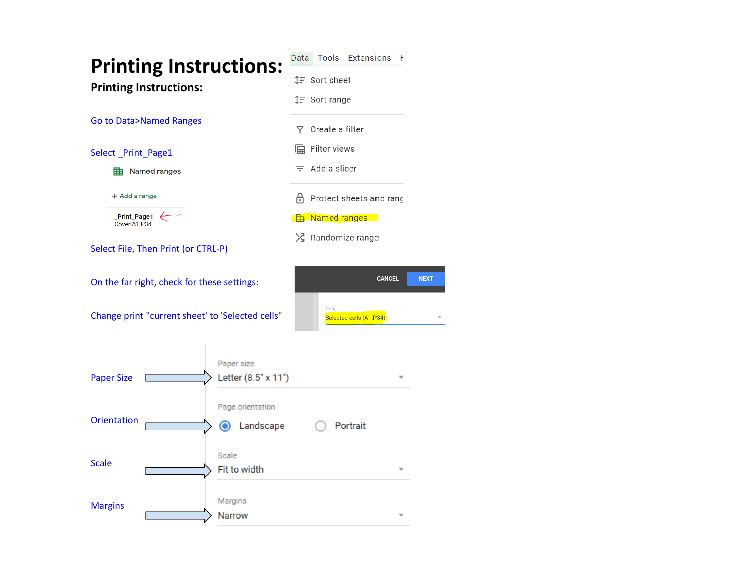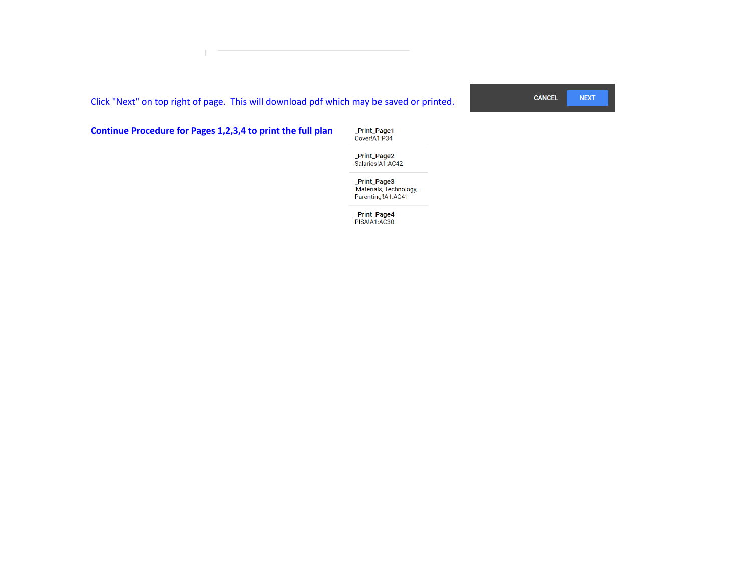Click "Next" on top right of page. This will download pdf which may be saved or printed.

**CANCEL NEXT** 

### **Continue Procedure for Pages 1,2,3,4 to print the full plan**

**\_Print\_Page1**<br>Cover!A1:P34

**\_Print\_Page2**<br>Salaries!A1:AC42

\_**Print\_Page3**<br>'Materials, Technology,<br>Parenting'!A1:AC41

\_**Print\_Page4**<br>PISA!A1:AC30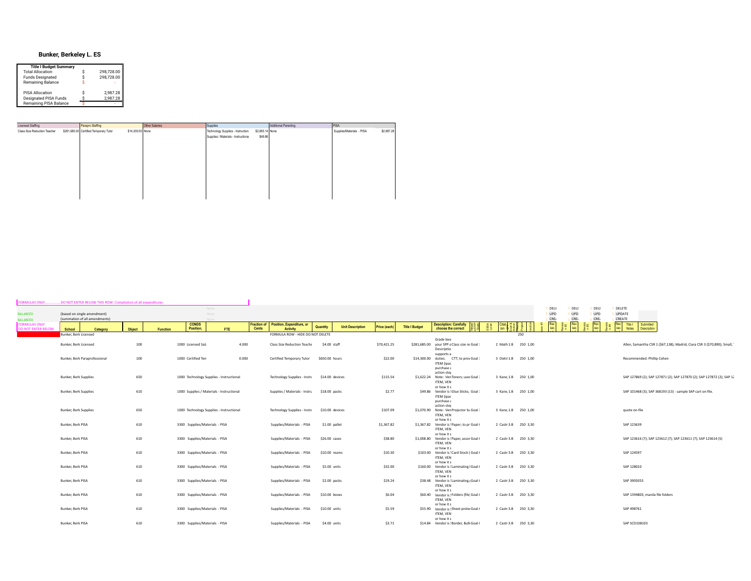#### **Bunker, Berkeley L. ES**

| 298,728.00<br>298,728.00 |
|--------------------------|
|                          |
|                          |
|                          |
| 2,987.28                 |
| 2.987.28                 |
|                          |
|                          |

| Licensed Staffing            | Parapro Staffing                       |                  | Other Salaries | Supplies                             |                 | Additional Parenting | PISA                      |            |
|------------------------------|----------------------------------------|------------------|----------------|--------------------------------------|-----------------|----------------------|---------------------------|------------|
| Class Size Reduction Teacher | \$281,685.00 Certified Temporary Tutor | \$14,300.00 None |                | Technology Supplies - Instruction:   | \$2,693.14 None |                      | Supplies/Materials - PISA | \$2,987.28 |
|                              |                                        |                  |                | Supplies / Materials - Instructional | \$49.86         |                      |                           |            |
|                              |                                        |                  |                |                                      |                 |                      |                           |            |
|                              |                                        |                  |                |                                      |                 |                      |                           |            |
|                              |                                        |                  |                |                                      |                 |                      |                           |            |
|                              |                                        |                  |                |                                      |                 |                      |                           |            |
|                              |                                        |                  |                |                                      |                 |                      |                           |            |
|                              |                                        |                  |                |                                      |                 |                      |                           |            |
|                              |                                        |                  |                |                                      |                 |                      |                           |            |
|                              |                                        |                  |                |                                      |                 |                      |                           |            |
|                              |                                        |                  |                |                                      |                 |                      |                           |            |
|                              |                                        |                  |                |                                      |                 |                      |                           |            |
|                              |                                        |                  |                |                                      |                 |                      |                           |            |

| ORMULAS ONLY                                      | DO NOT ENTER BELOW THIS ROW: Compilation of all expenditures |        |          |                                |                                           |              |                                                          |                 |                         |              |                       |                                                                                           |                      |                           |                            |                           |                                                                            |  |
|---------------------------------------------------|--------------------------------------------------------------|--------|----------|--------------------------------|-------------------------------------------|--------------|----------------------------------------------------------|-----------------|-------------------------|--------------|-----------------------|-------------------------------------------------------------------------------------------|----------------------|---------------------------|----------------------------|---------------------------|----------------------------------------------------------------------------|--|
| <b>BALANCED</b><br><b>BALANCED</b>                | (based on single amendment)<br>(summation of all amendments) |        |          |                                | None<br>None                              |              |                                                          |                 |                         |              |                       |                                                                                           |                      | DELI<br><b>UPD</b><br>CRF | DELI<br><b>UPD</b><br>CRE. | DELI<br><b>UPD</b><br>CRE | DELETE<br><b>UPDATE</b><br>CREATE                                          |  |
| <b>FORMULAS ONLY</b><br><b>DO NOT ENTER BELOW</b> | School<br>Category                                           | Object | Function | <b>CONDS</b><br>Position.      | FTE                                       | <b>Cents</b> | Fraction of Position, Expenditure, or<br><b>Activity</b> | Quantity        | <b>Unit Description</b> | Price (each) | <b>Title I Budget</b> | <b>Description: Carefully</b><br>choose the correct                                       | Citat d ≊ 5          | Rev                       | Rev                        | Rev                       | Rev Title I Submitted<br>sio Notes Description                             |  |
|                                                   | <b>Bunker, Berk Licensed</b>                                 |        |          |                                |                                           |              | FORMULA ROW - HIDE DO NOT DELETE                         |                 |                         |              |                       |                                                                                           | 250                  |                           |                            |                           |                                                                            |  |
|                                                   | Bunker, Berk Licensed                                        | 100    |          | 1000 Licensed Sala             |                                           | 4.000        | <b>Class Size Reduction Teache</b>                       | \$4.00 staff    |                         | \$70,421.25  |                       | Grade leve<br>\$281,685.00 your SPP c Class size re Goal :<br>Descriptio                  | 2 Math 1.B 250 1,00  |                           |                            |                           | Allen, Samantha CSR 1 (\$67,138); Madrid, Ciara CSR 3 (\$70,890); Small, 1 |  |
|                                                   | Bunker, Berk Paraprofessional                                | 100    |          | 1000 Certified Ten             |                                           | 0.000        | Certified Temporary Tutor                                | \$650.00 hours  |                         | \$22.00      | \$14,300.00           | supports a<br>CTT; to prov Goal 3<br>duties.<br>ITEM (ipac<br>purchase a                  | 3 Dietr 1.B 250 1,00 |                           |                            |                           | Recommended: Phillip Cohen                                                 |  |
|                                                   | <b>Bunker, Berk Supplies</b>                                 | 650    |          |                                | 1000 Technology Supplies - Instructional  |              | <b>Technology Supplies - Instru</b>                      | \$14.00 devices |                         | \$115.54     |                       | action step<br>\$1,622.24 Note: Ven Toners; user Goal<br>ITEM, VEN                        | 3 Kane 1.B 250 1,00  |                           |                            |                           | SAP 127869 (2); SAP 127871 (2); SAP 127870 (2); SAP 127872 (2); SAP 12     |  |
|                                                   | <b>Bunker, Berk Supplies</b>                                 | 610    |          |                                | 1000 Supplies / Materials - Instructional |              | Supplies / Materials - Instru                            | \$18.00 packs   |                         | \$2.77       |                       | or how it s<br>\$49.86 Vendor is ! Glue Sticks; Goal 3<br><b>ITEM</b> (ipac<br>purchase a | 3 Kane 1.B 250 1,00  |                           |                            |                           | SAP 101468 (3); SAP 368193 (13) - sample SAP cart on-file.                 |  |
|                                                   | <b>Bunker, Berk Supplies</b>                                 | 650    |          |                                | 1000 Technology Supplies - Instructional  |              | Technology Supplies - Instru                             | \$10.00 devices |                         | \$107.09     |                       | action ster<br>\$1,070.90 Note: Ven Projector bu Goal 3<br>ITEM, VEN                      | 3 Kane 1.B 250 1.00  |                           |                            |                           | quote on-file                                                              |  |
|                                                   | Bunker, Berk PISA                                            | 610    |          | 3300 Supplies/Materials - PISA |                                           |              | Supplies/Materials - PISA                                | \$1.00 pallet   |                         | \$1,367.82   |                       | or how it s<br>\$1,367.82 Vendor is ! Paper; to pr Goal {<br>ITEM, VEN<br>or how it s     | 2 Castr 3.B 250 3,30 |                           |                            |                           | SAP 123639                                                                 |  |
|                                                   | Bunker, Berk PISA                                            | 610    |          | 3300 Supplies/Materials - PISA |                                           |              | Supplies/Materials - PISA                                | \$26.00 cases   |                         | \$38.80      |                       | \$1,008.80 Vendor is ! Paper, assor Goal {<br>ITEM, VEN<br>or how it s                    | 2 Castr 3.B 250 3,30 |                           |                            |                           | SAP 123616 (7); SAP 123612 (7); SAP 123611 (7); SAP 123614 (5)             |  |
|                                                   | Bunker, Berk PISA                                            | 610    |          | 3300 Supplies/Materials - PISA |                                           |              | Supplies/Materials - PISA                                | \$10.00 reams   |                         | \$10.30      |                       | \$103.00 Vendor is ! Card Stock / Goal {<br>ITEM, VEN<br>or how it s                      | 2 Castr 3.B 250 3.30 |                           |                            |                           | SAP 124597                                                                 |  |
|                                                   | Bunker, Berk PISA                                            | 610    |          | 3300 Supplies/Materials - PISA |                                           |              | Supplies/Materials - PISA                                | \$5.00 units    |                         | \$32.00      |                       | \$160.00 Vendor is ! Laminating   Goal {<br>ITEM, VEN<br>or how it s                      | 2 Castr 3.B 250 3,30 |                           |                            |                           | SAP 128010                                                                 |  |
|                                                   | Bunker, Berk PISA                                            | 610    |          | 3300 Supplies/Materials - PISA |                                           |              | Supplies/Materials - PISA                                | \$2.00 packs    |                         | \$19.24      |                       | \$38.48 Vendor is ! Laminating   Goal f<br>ITEM, VEN<br>or how it s                       | 2 Castr 3.B 250 3,30 |                           |                            |                           | SAP 3905053                                                                |  |
|                                                   | Bunker, Berk PISA                                            | 610    |          | 3300 Supplies/Materials - PISA |                                           |              | Supplies/Materials - PISA                                | \$10.00 boxes   |                         | \$6.04       |                       | \$60.40 Vendor is ! Folders (file Goal 6<br>ITEM, VEN<br>or how it s                      | 2 Castr 3.B 250 3.30 |                           |                            |                           | SAP 1394803, manila file folders                                           |  |
|                                                   | Bunker, Berk PISA                                            | 610    |          | 3300 Supplies/Materials - PISA |                                           |              | Supplies/Materials - PISA                                | \$10.00 units   |                         | \$5.59       |                       | \$55.90 Vendor is ! Sheet prote Goal {<br>ITEM, VEN<br>or how it s                        | 2 Castr 3.B 250 3,30 |                           |                            |                           | SAP 498761                                                                 |  |
|                                                   | Bunker, Berk PISA                                            | 610    |          | 3300 Supplies/Materials - PISA |                                           |              | Supplies/Materials - PISA                                | \$4.00 units    |                         | \$3.71       |                       | \$14.84 Vendor is ! Border, Bulli Goal {                                                  | 2 Castr 3.B 250 3,30 |                           |                            |                           | SAP SCD108103                                                              |  |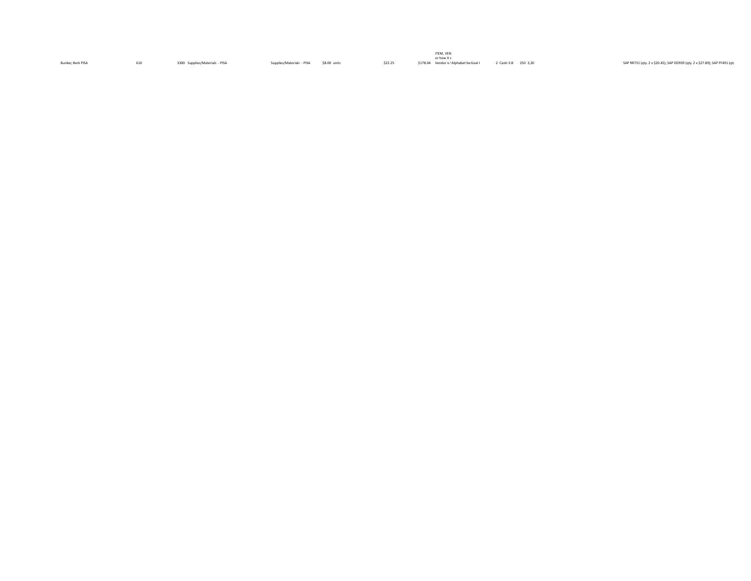|                   |                                |                           |              |         | ITEM, VEN                               |                      |                                                                             |
|-------------------|--------------------------------|---------------------------|--------------|---------|-----------------------------------------|----------------------|-----------------------------------------------------------------------------|
|                   |                                |                           |              |         | or how it s                             |                      |                                                                             |
| Bunker, Berk PISA | 3300 Supplies/Materials - PISA | Supplies/Materials - PISA | \$8.00 units | \$22.25 | \$178.04 Vendor is ! Alphabet be Goal { | 2 Castr 3.B 250 3,30 | SAP RR731 (qty. 2 x \$20.45); SAP DD939 (qty. 2 x \$27.89); SAP FF491 (qty. |
|                   |                                |                           |              |         |                                         |                      |                                                                             |
|                   |                                |                           |              |         |                                         |                      |                                                                             |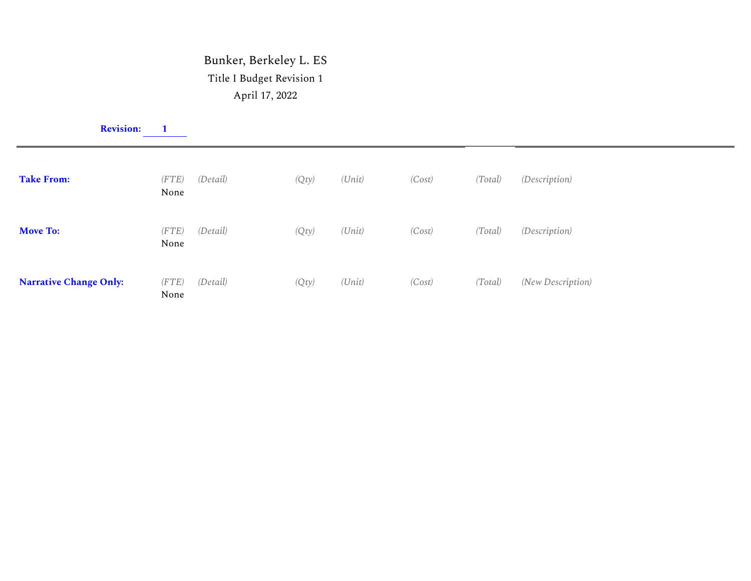## Bunker, Berkeley L. ES Title I Budget Revision 1 April 17, 2022

|                               | <b>Revision:</b> |               |          |       |        |        |         |                      |
|-------------------------------|------------------|---------------|----------|-------|--------|--------|---------|----------------------|
| <b>Take From:</b>             |                  | (FTE)<br>None | (Detail) | (Qty) | (Unit) | (Cost) | (Total) | (Description)        |
| <b>Move To:</b>               |                  | (FTE)<br>None | (Detail) | (Qty) | (Unit) | (Cost) | (Total) | <i>(Description)</i> |
| <b>Narrative Change Only:</b> |                  | (FTE)<br>None | (Detail) | (Qty) | (Unit) | (Cost) | (Total) | (New Description)    |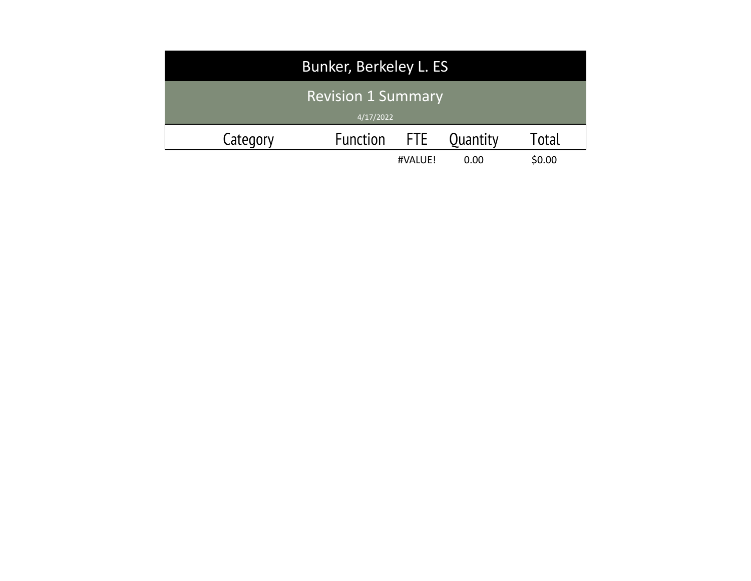| Bunker, Berkeley L. ES                 |          |            |          |        |  |  |  |  |
|----------------------------------------|----------|------------|----------|--------|--|--|--|--|
| <b>Revision 1 Summary</b><br>4/17/2022 |          |            |          |        |  |  |  |  |
| Category                               | Function | <b>FTE</b> | Quantity | Total  |  |  |  |  |
|                                        |          | #VALUE!    | 0.00     | \$0.00 |  |  |  |  |